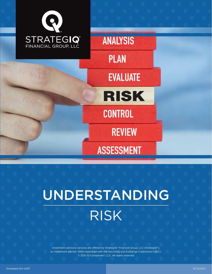

UNDERSTANDING RISK

> Investment advisory services are offered by StrategIQ® Financial Group, LLC (StrategIQ®), an investment adviser (RIA) registered with the Securities and Exchange Commission (SEC). © 2021 IQ Companies®, LLC. All rights reserved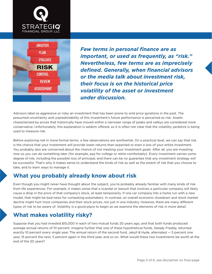



*Few terms in personal finance are as important, or used as frequently, as "risk." Nevertheless, few terms are as imprecisely defined. Generally, when financial advisors or the media talk about investment risk, their focus is on the historical price volatility of the asset or investment under discussion.*

Advisors label as aggressive or risky an investment that has been prone to wild price gyrations in the past. The presumed uncertainty and unpredictability of this investment's future performance is perceived as risk. Assets characterized by prices that historically have moved within a narrower range of peaks and valleys are considered more conservative. Unfortunately, this explanation is seldom offered, so it is often not clear that the volatility yardstick is being used to measure risk.

Before exploring risk in more formal terms, a few observations are worthwhile. On a practical level, we can say that risk is the chance that your investment will provide lower returns than expected or even a loss of your entire investment. You probably also are concerned about the chance of not meeting your investment goals. After all, you are investing now so you can do something later (for example, pay for college or retire comfortably). Every investment carries some degree of risk, including the possible loss of principal, and there can be no guarantee that any investment strategy will be successful. That's why it makes sense to understand the kinds of risk as well as the extent of risk that you choose to take, and to learn ways to manage it.

## **What you probably already know about risk**

Even though you might never have thought about the subject, you're probably already familiar with many kinds of risk from life experiences. For example, it makes sense that a scandal or lawsuit that involves a particular company will likely cause a drop in the price of that company's stock, at least temporarily. If one car company hits a home run with a new model, that might be bad news for competing automakers. In contrast, an overall economic slowdown and stock market decline might hurt most companies and their stock prices, not just in one industry. However, there are many different types of risk to be aware of. Volatility is a good place to begin as we examine the elements of risk in more detail.

## **What makes volatility risky?**

Suppose that you had invested \$10,000 in each of two mutual funds 20 years ago, and that both funds produced average annual returns of 10 percent. Imagine further that one of these hypothetical funds, Steady Freddy, returned exactly 10 percent every single year. The annual return of the second fund, Jekyll & Hyde, alternated — 5 percent one year, 15 percent the next, 5 percent again in the third year, and so on. What would these two investments be worth at the end of the 20 years?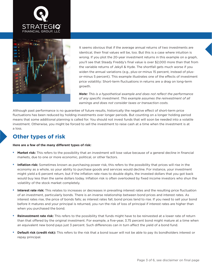



It seems obvious that if the average annual returns of two investments are identical, their final values will be, too. But this is a case where intuition is wrong. If you plot the 20-year investment returns in this example on a graph, you'll see that Steady Freddy's final value is over \$2,000 more than that from the variable returns of Jekyll & Hyde. The shortfall gets much worse if you widen the annual variations (e.g., plus-or-minus 15 percent, instead of plusor-minus 5 percent). This example illustrates one of the effects of investment price volatility: Short-term fluctuations in returns are a drag on long-term growth.

*Note: This is a hypothetical example and does not reflect the performance of any specific investment. This example assumes the reinvestment of all earnings and does not consider taxes or transaction costs.*

Although past performance is no guarantee of future results, historically the negative effect of short-term price fluctuations has been reduced by holding investments over longer periods. But counting on a longer holding period means that some additional planning is called for. You should not invest funds that will soon be needed into a volatile investment. Otherwise, you might be forced to sell the investment to raise cash at a time when the investment is at a loss.

### **Other types of risk**

#### **Here are a few of the many different types of risk:**

- **• Market risk:** This refers to the possibility that an investment will lose value because of a general decline in financial markets, due to one or more economic, political, or other factors.
- **• Inflation risk:** Sometimes known as purchasing power risk, this refers to the possibility that prices will rise in the economy as a whole, so your ability to purchase goods and services would decline. For instance, your investment might yield a 6 percent return, but if the inflation rate rises to double digits, the invested dollars that you got back would buy less than the same dollars today. Inflation risk is often overlooked by fixed income investors who shun the volatility of the stock market completely.
- **•** Interest rate risk: This relates to increases or decreases in prevailing interest rates and the resulting price fluctuation of an investment, particularly bonds. There is an inverse relationship between bond prices and interest rates. As interest rates rise, the price of bonds falls; as interest rates fall, bond prices tend to rise. If you need to sell your bond before it matures and your principal is returned, you run the risk of loss of principal if interest rates are higher than when you purchased the bond.
- **• Reinvestment rate risk:** This refers to the possibility that funds might have to be reinvested at a lower rate of return than that offered by the original investment. For example, a five-year, 3.75 percent bond might mature at a time when an equivalent new bond pays just 3 percent. Such differences can in turn affect the yield of a bond fund.
- **• Default risk (credit risk):** This refers to the risk that a bond issuer will not be able to pay its bondholders interest or repay principal.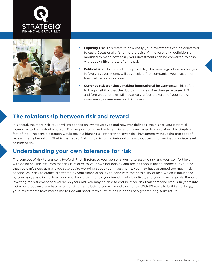



- **• Liquidity risk:** This refers to how easily your investments can be converted to cash. Occasionally (and more precisely), the foregoing definition is modified to mean how easily your investments can be converted to cash without significant loss of principal.
- **• Political risk:** This refers to the possibility that new legislation or changes in foreign governments will adversely affect companies you invest in or financial markets overseas.
- **• Currency risk (for those making international investments):** This refers to the possibility that the fluctuating rates of exchange between U.S. and foreign currencies will negatively affect the value of your foreign investment, as measured in U.S. dollars.

### **The relationship between risk and reward**

In general, the more risk you're willing to take on (whatever type and however defined), the higher your potential returns, as well as potential losses. This proposition is probably familiar and makes sense to most of us. It is simply a fact of life — no sensible person would make a higher-risk, rather than lower-risk, investment without the prospect of receiving a higher return. That is the tradeoff. Your goal is to maximize returns without taking on an inappropriate level or type of risk.

### **Understanding your own tolerance for risk**

The concept of risk tolerance is twofold. First, it refers to your personal desire to assume risk and your comfort level with doing so. This assumes that risk is relative to your own personality and feelings about taking chances. If you find that you can't sleep at night because you're worrying about your investments, you may have assumed too much risk. Second, your risk tolerance is affected by your financial ability to cope with the possibility of loss, which is influenced by your age, stage in life, how soon you'll need the money, your investment objectives, and your financial goals. If you're investing for retirement and you're 35 years old, you may be able to endure more risk than someone who is 10 years into retirement, because you have a longer time frame before you will need the money. With 30 years to build a nest egg, your investments have more time to ride out short-term fluctuations in hopes of a greater long-term return.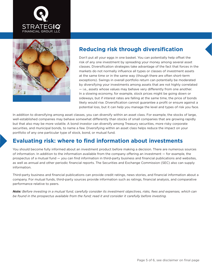



# **Reducing risk through diversification**

Don't put all your eggs in one basket. You can potentially help offset the risk of any one investment by spreading your money among several asset classes. Diversification strategies take advantage of the fact that forces in the markets do not normally influence all types or classes of investment assets at the same time or in the same way (though there are often short-term exceptions). Swings in overall portfolio return can potentially be moderated by diversifying your investments among assets that are not highly correlated — i.e., assets whose values may behave very differently from one another. In a slowing economy, for example, stock prices might be going down or sideways, but if interest rates are falling at the same time, the price of bonds likely would rise. Diversification cannot guarantee a profit or ensure against a potential loss, but it can help you manage the level and types of risk you face.

In addition to diversifying among asset classes, you can diversify within an asset class. For example, the stocks of large, well-established companies may behave somewhat differently than stocks of small companies that are growing rapidly but that also may be more volatile. A bond investor can diversify among Treasury securities, more risky corporate securities, and municipal bonds, to name a few. Diversifying within an asset class helps reduce the impact on your portfolio of any one particular type of stock, bond, or mutual fund.

# **Evaluating risk: where to find information about investments**

You should become fully informed about an investment product before making a decision. There are numerous sources of information. In addition to the information available from the company offering an investment — for example, the prospectus of a mutual fund — you can find information in third-party business and financial publications and websites, as well as annual and other periodic financial reports. The Securities and Exchange Commission (SEC) also can supply information.

Third-party business and financial publications can provide credit ratings, news stories, and financial information about a company. For mutual funds, third-party sources provide information such as ratings, financial analysis, and comparative performance relative to peers.

*Note: Before investing in a mutual fund, carefully consider its investment objectives, risks, fees and expenses, which can be found in the prospectus available from the fund; read it and consider it carefully before investing.*